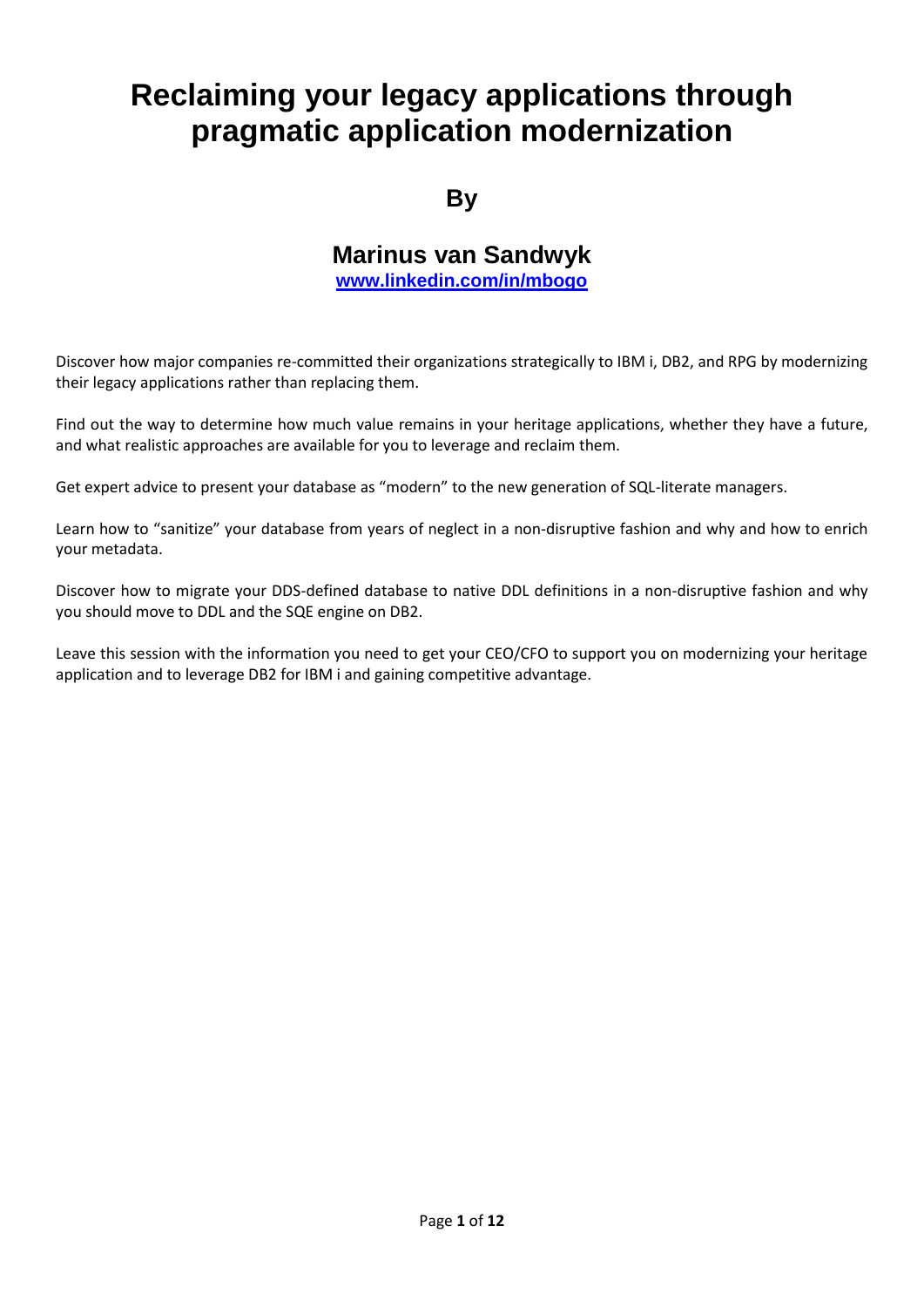# **Reclaiming your legacy applications through pragmatic application modernization**

# **By**

# **Marinus van Sandwyk**

**[www.linkedin.com/in/mbogo](http://www.linkedin.com/in/mbogo)**

Discover how major companies re-committed their organizations strategically to IBM i, DB2, and RPG by modernizing their legacy applications rather than replacing them.

Find out the way to determine how much value remains in your heritage applications, whether they have a future, and what realistic approaches are available for you to leverage and reclaim them.

Get expert advice to present your database as "modern" to the new generation of SQL-literate managers.

Learn how to "sanitize" your database from years of neglect in a non-disruptive fashion and why and how to enrich your metadata.

Discover how to migrate your DDS-defined database to native DDL definitions in a non-disruptive fashion and why you should move to DDL and the SQE engine on DB2.

Leave this session with the information you need to get your CEO/CFO to support you on modernizing your heritage application and to leverage DB2 for IBM i and gaining competitive advantage.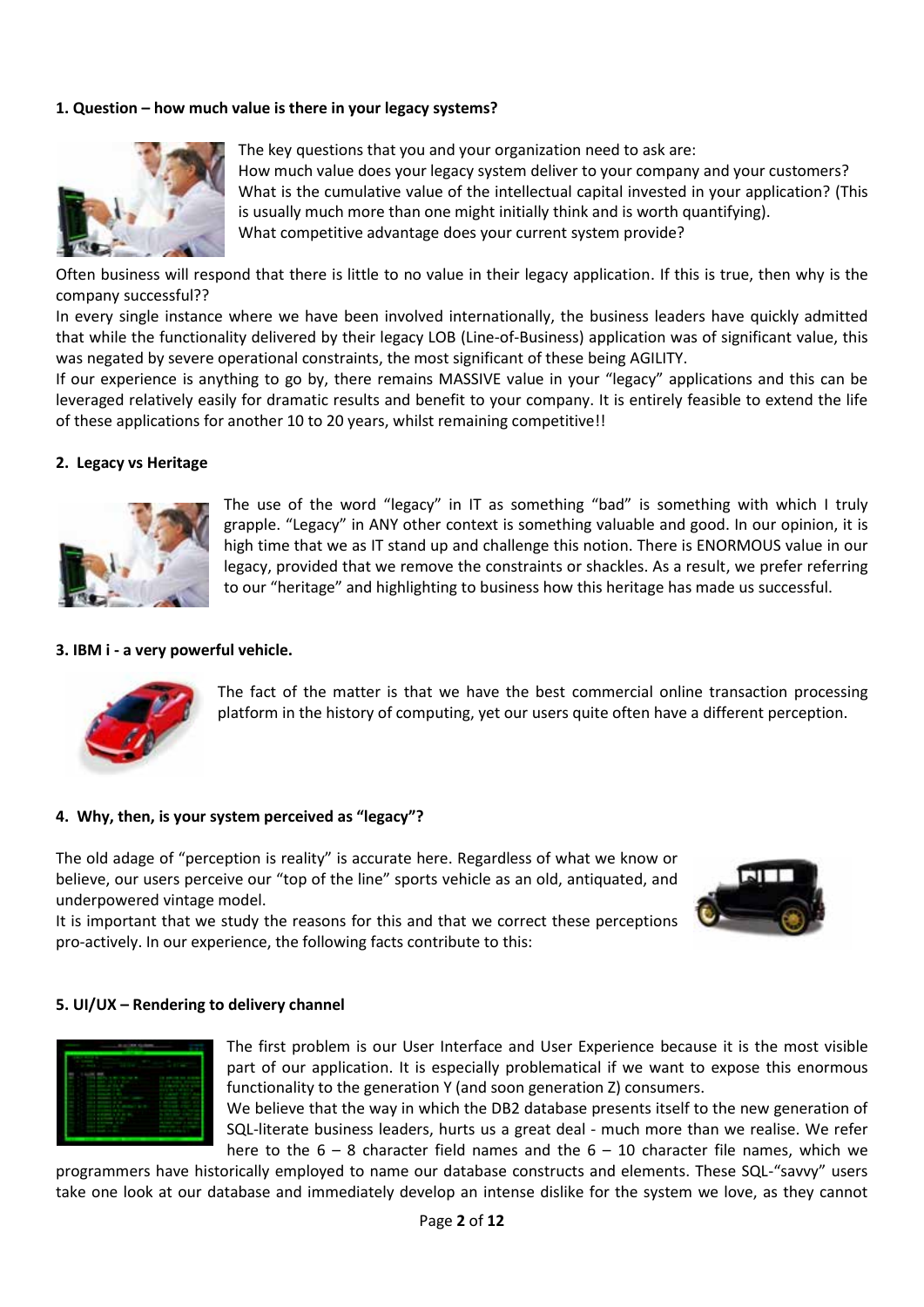# **1. Question – how much value is there in your legacy systems?**



The key questions that you and your organization need to ask are: How much value does your legacy system deliver to your company and your customers? What is the cumulative value of the intellectual capital invested in your application? (This is usually much more than one might initially think and is worth quantifying). What competitive advantage does your current system provide?

Often business will respond that there is little to no value in their legacy application. If this is true, then why is the company successful??

In every single instance where we have been involved internationally, the business leaders have quickly admitted that while the functionality delivered by their legacy LOB (Line-of-Business) application was of significant value, this was negated by severe operational constraints, the most significant of these being AGILITY.

If our experience is anything to go by, there remains MASSIVE value in your "legacy" applications and this can be leveraged relatively easily for dramatic results and benefit to your company. It is entirely feasible to extend the life of these applications for another 10 to 20 years, whilst remaining competitive!!

#### **2. Legacy vs Heritage**



The use of the word "legacy" in IT as something "bad" is something with which I truly grapple. "Legacy" in ANY other context is something valuable and good. In our opinion, it is high time that we as IT stand up and challenge this notion. There is ENORMOUS value in our legacy, provided that we remove the constraints or shackles. As a result, we prefer referring to our "heritage" and highlighting to business how this heritage has made us successful.

#### **3. IBM i - a very powerful vehicle.**



The fact of the matter is that we have the best commercial online transaction processing platform in the history of computing, yet our users quite often have a different perception.

#### **4. Why, then, is your system perceived as "legacy"?**

The old adage of "perception is reality" is accurate here. Regardless of what we know or believe, our users perceive our "top of the line" sports vehicle as an old, antiquated, and underpowered vintage model.

It is important that we study the reasons for this and that we correct these perceptions pro-actively. In our experience, the following facts contribute to this:



#### **5. UI/UX – Rendering to delivery channel**



The first problem is our User Interface and User Experience because it is the most visible part of our application. It is especially problematical if we want to expose this enormous functionality to the generation Y (and soon generation Z) consumers.

We believe that the way in which the DB2 database presents itself to the new generation of SQL-literate business leaders, hurts us a great deal - much more than we realise. We refer here to the  $6 - 8$  character field names and the  $6 - 10$  character file names, which we

programmers have historically employed to name our database constructs and elements. These SQL-"savvy" users take one look at our database and immediately develop an intense dislike for the system we love, as they cannot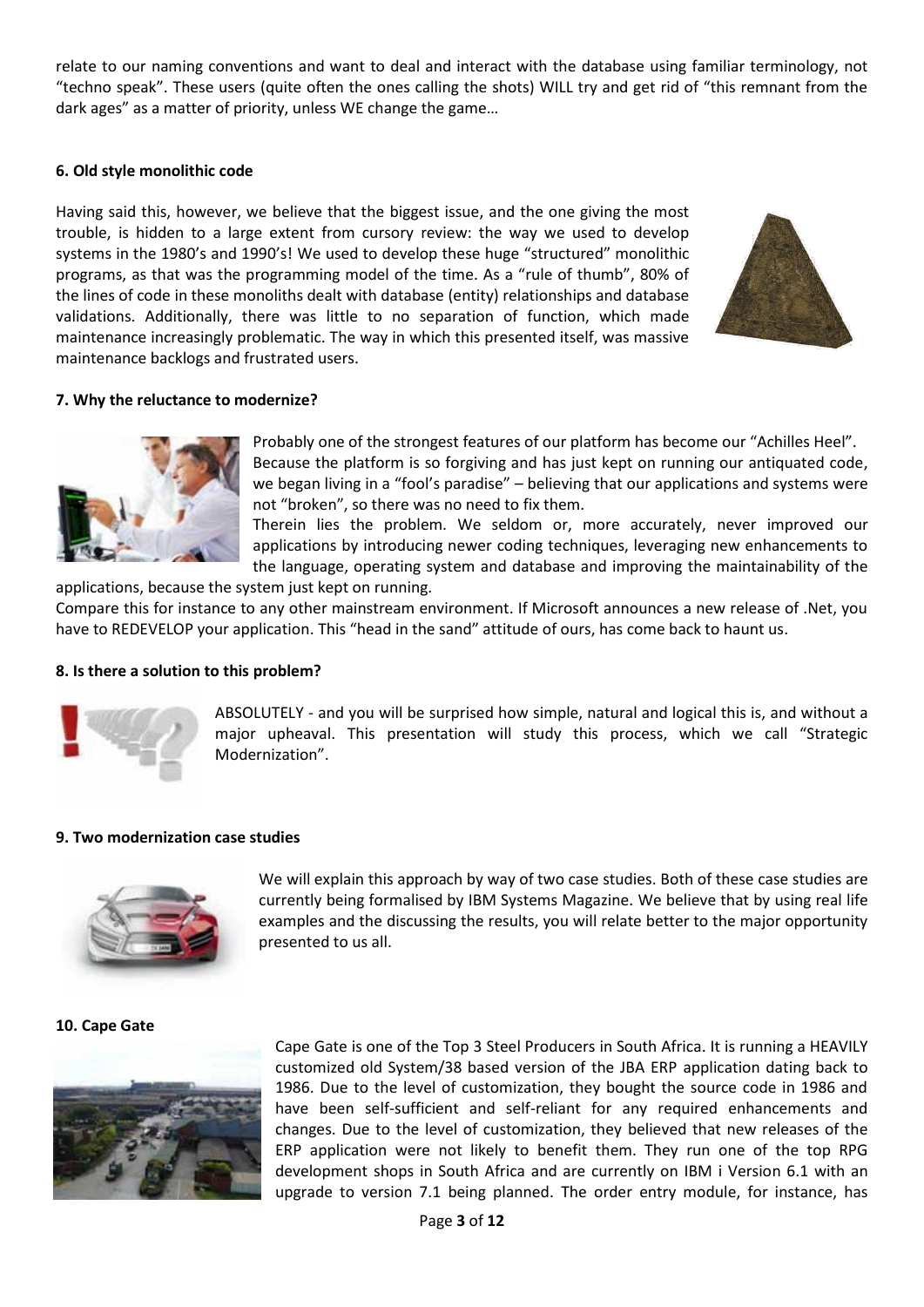relate to our naming conventions and want to deal and interact with the database using familiar terminology, not "techno speak". These users (quite often the ones calling the shots) WILL try and get rid of "this remnant from the dark ages" as a matter of priority, unless WE change the game…

# **6. Old style monolithic code**

Having said this, however, we believe that the biggest issue, and the one giving the most trouble, is hidden to a large extent from cursory review: the way we used to develop systems in the 1980's and 1990's! We used to develop these huge "structured" monolithic programs, as that was the programming model of the time. As a "rule of thumb", 80% of the lines of code in these monoliths dealt with database (entity) relationships and database validations. Additionally, there was little to no separation of function, which made maintenance increasingly problematic. The way in which this presented itself, was massive maintenance backlogs and frustrated users.



# **7. Why the reluctance to modernize?**



Probably one of the strongest features of our platform has become our "Achilles Heel". Because the platform is so forgiving and has just kept on running our antiquated code, we began living in a "fool's paradise" – believing that our applications and systems were not "broken", so there was no need to fix them.

Therein lies the problem. We seldom or, more accurately, never improved our applications by introducing newer coding techniques, leveraging new enhancements to the language, operating system and database and improving the maintainability of the

applications, because the system just kept on running. Compare this for instance to any other mainstream environment. If Microsoft announces a new release of .Net, you have to REDEVELOP your application. This "head in the sand" attitude of ours, has come back to haunt us.

# **8. Is there a solution to this problem?**



ABSOLUTELY - and you will be surprised how simple, natural and logical this is, and without a major upheaval. This presentation will study this process, which we call "Strategic Modernization".

# **9. Two modernization case studies**



We will explain this approach by way of two case studies. Both of these case studies are currently being formalised by IBM Systems Magazine. We believe that by using real life examples and the discussing the results, you will relate better to the major opportunity presented to us all.

# **10. Cape Gate**



Cape Gate is one of the Top 3 Steel Producers in South Africa. It is running a HEAVILY customized old System/38 based version of the JBA ERP application dating back to 1986. Due to the level of customization, they bought the source code in 1986 and have been self-sufficient and self-reliant for any required enhancements and changes. Due to the level of customization, they believed that new releases of the ERP application were not likely to benefit them. They run one of the top RPG development shops in South Africa and are currently on IBM i Version 6.1 with an upgrade to version 7.1 being planned. The order entry module, for instance, has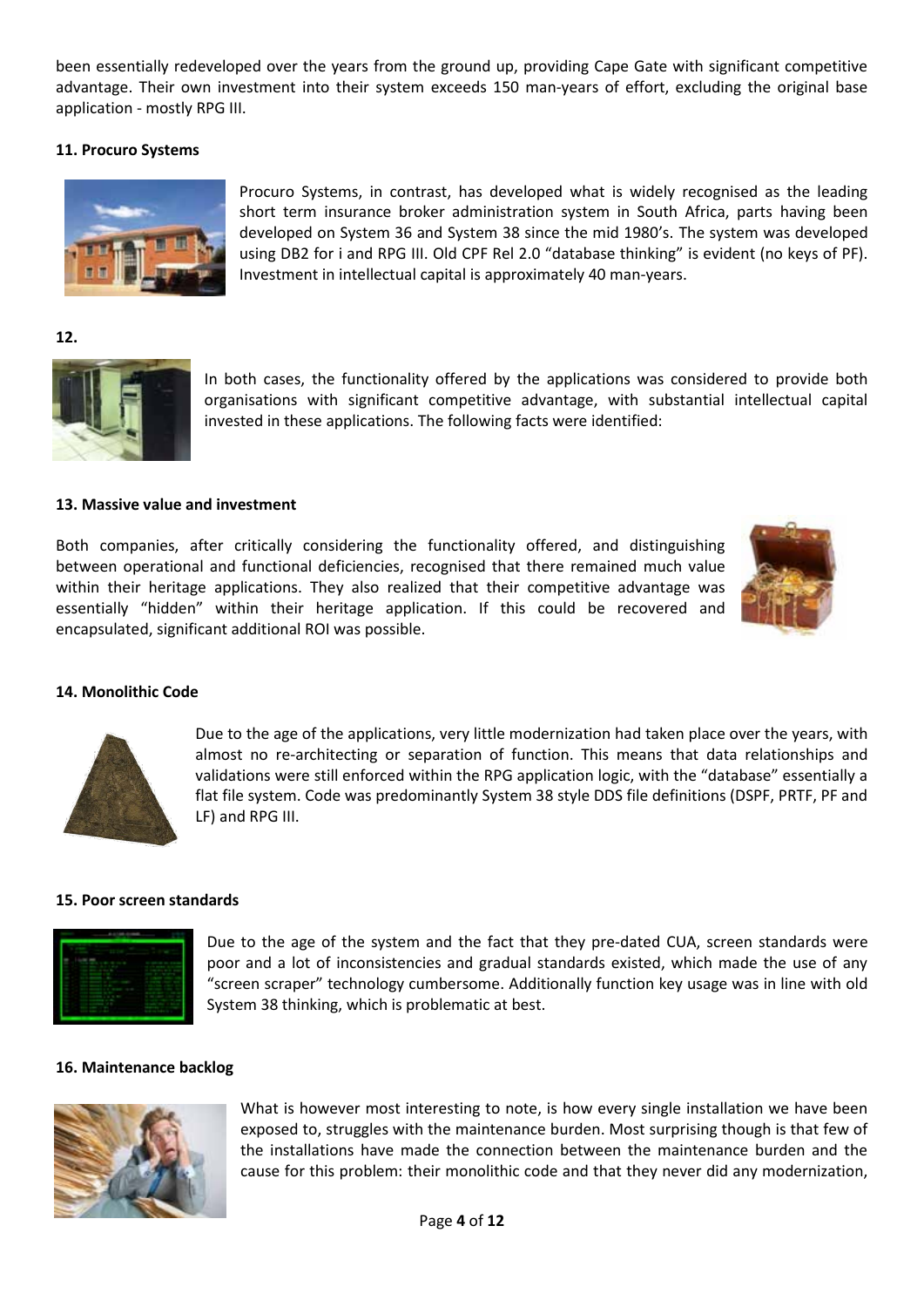been essentially redeveloped over the years from the ground up, providing Cape Gate with significant competitive advantage. Their own investment into their system exceeds 150 man-years of effort, excluding the original base application - mostly RPG III.

# **11. Procuro Systems**



Procuro Systems, in contrast, has developed what is widely recognised as the leading short term insurance broker administration system in South Africa, parts having been developed on System 36 and System 38 since the mid 1980's. The system was developed using DB2 for i and RPG III. Old CPF Rel 2.0 "database thinking" is evident (no keys of PF). Investment in intellectual capital is approximately 40 man-years.

**12.** 



In both cases, the functionality offered by the applications was considered to provide both organisations with significant competitive advantage, with substantial intellectual capital invested in these applications. The following facts were identified:

# **13. Massive value and investment**

Both companies, after critically considering the functionality offered, and distinguishing between operational and functional deficiencies, recognised that there remained much value within their heritage applications. They also realized that their competitive advantage was essentially "hidden" within their heritage application. If this could be recovered and encapsulated, significant additional ROI was possible.



#### **14. Monolithic Code**



Due to the age of the applications, very little modernization had taken place over the years, with almost no re-architecting or separation of function. This means that data relationships and validations were still enforced within the RPG application logic, with the "database" essentially a flat file system. Code was predominantly System 38 style DDS file definitions (DSPF, PRTF, PF and LF) and RPG III.

#### **15. Poor screen standards**



Due to the age of the system and the fact that they pre-dated CUA, screen standards were poor and a lot of inconsistencies and gradual standards existed, which made the use of any "screen scraper" technology cumbersome. Additionally function key usage was in line with old System 38 thinking, which is problematic at best.

#### **16. Maintenance backlog**



What is however most interesting to note, is how every single installation we have been exposed to, struggles with the maintenance burden. Most surprising though is that few of the installations have made the connection between the maintenance burden and the cause for this problem: their monolithic code and that they never did any modernization,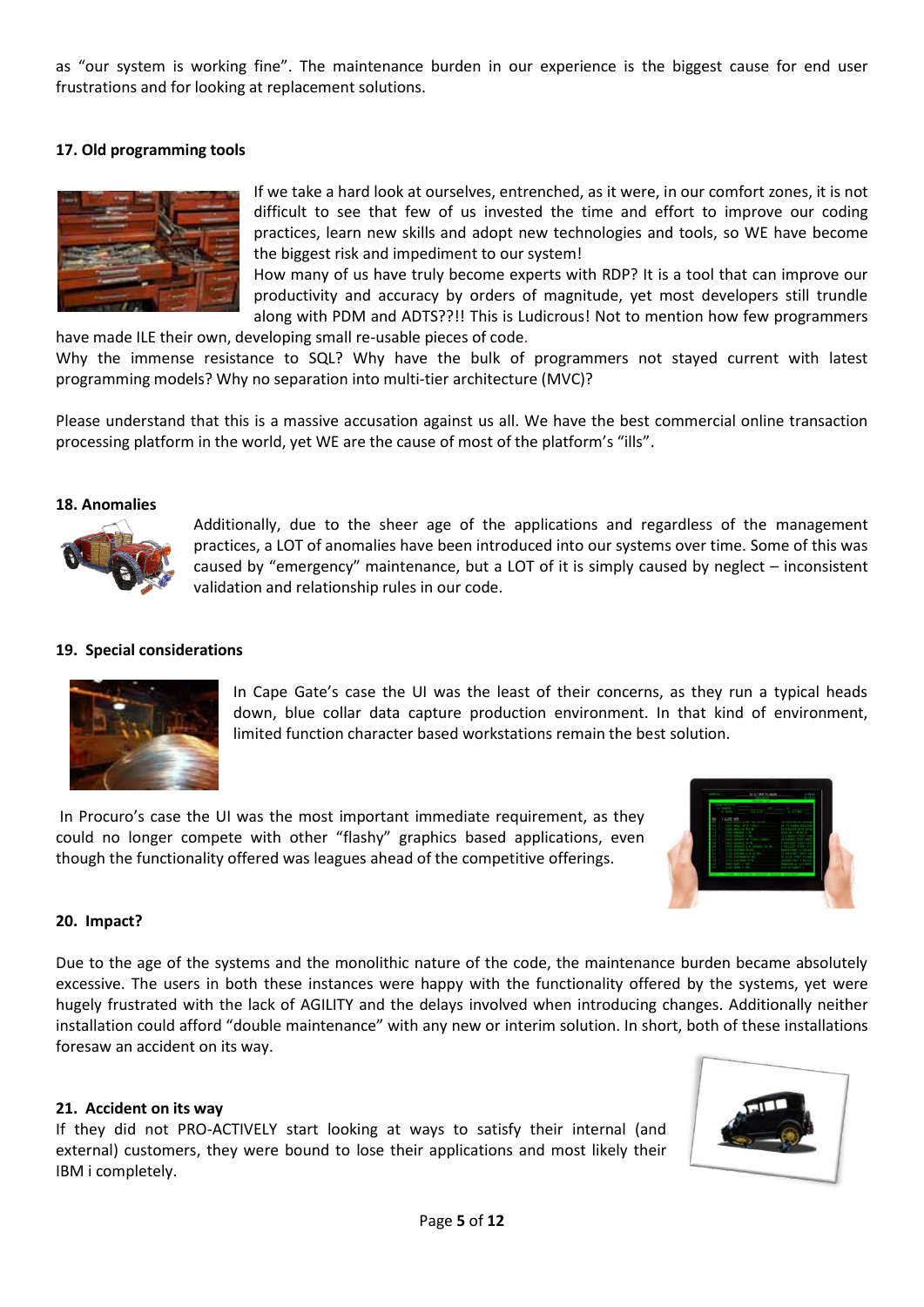as "our system is working fine". The maintenance burden in our experience is the biggest cause for end user frustrations and for looking at replacement solutions.

# **17. Old programming tools**



If we take a hard look at ourselves, entrenched, as it were, in our comfort zones, it is not difficult to see that few of us invested the time and effort to improve our coding practices, learn new skills and adopt new technologies and tools, so WE have become the biggest risk and impediment to our system!

How many of us have truly become experts with RDP? It is a tool that can improve our productivity and accuracy by orders of magnitude, yet most developers still trundle along with PDM and ADTS??!! This is Ludicrous! Not to mention how few programmers

have made ILE their own, developing small re-usable pieces of code. Why the immense resistance to SQL? Why have the bulk of programmers not stayed current with latest programming models? Why no separation into multi-tier architecture (MVC)?

Please understand that this is a massive accusation against us all. We have the best commercial online transaction processing platform in the world, yet WE are the cause of most of the platform's "ills".

#### **18. Anomalies**



Additionally, due to the sheer age of the applications and regardless of the management practices, a LOT of anomalies have been introduced into our systems over time. Some of this was caused by "emergency" maintenance, but a LOT of it is simply caused by neglect – inconsistent validation and relationship rules in our code.

#### **19. Special considerations**



In Cape Gate's case the UI was the least of their concerns, as they run a typical heads down, blue collar data capture production environment. In that kind of environment, limited function character based workstations remain the best solution.

In Procuro's case the UI was the most important immediate requirement, as they could no longer compete with other "flashy" graphics based applications, even though the functionality offered was leagues ahead of the competitive offerings.



# **20. Impact?**

Due to the age of the systems and the monolithic nature of the code, the maintenance burden became absolutely excessive. The users in both these instances were happy with the functionality offered by the systems, yet were hugely frustrated with the lack of AGILITY and the delays involved when introducing changes. Additionally neither installation could afford "double maintenance" with any new or interim solution. In short, both of these installations foresaw an accident on its way.

#### **21. Accident on its way**

If they did not PRO-ACTIVELY start looking at ways to satisfy their internal (and external) customers, they were bound to lose their applications and most likely their IBM i completely.

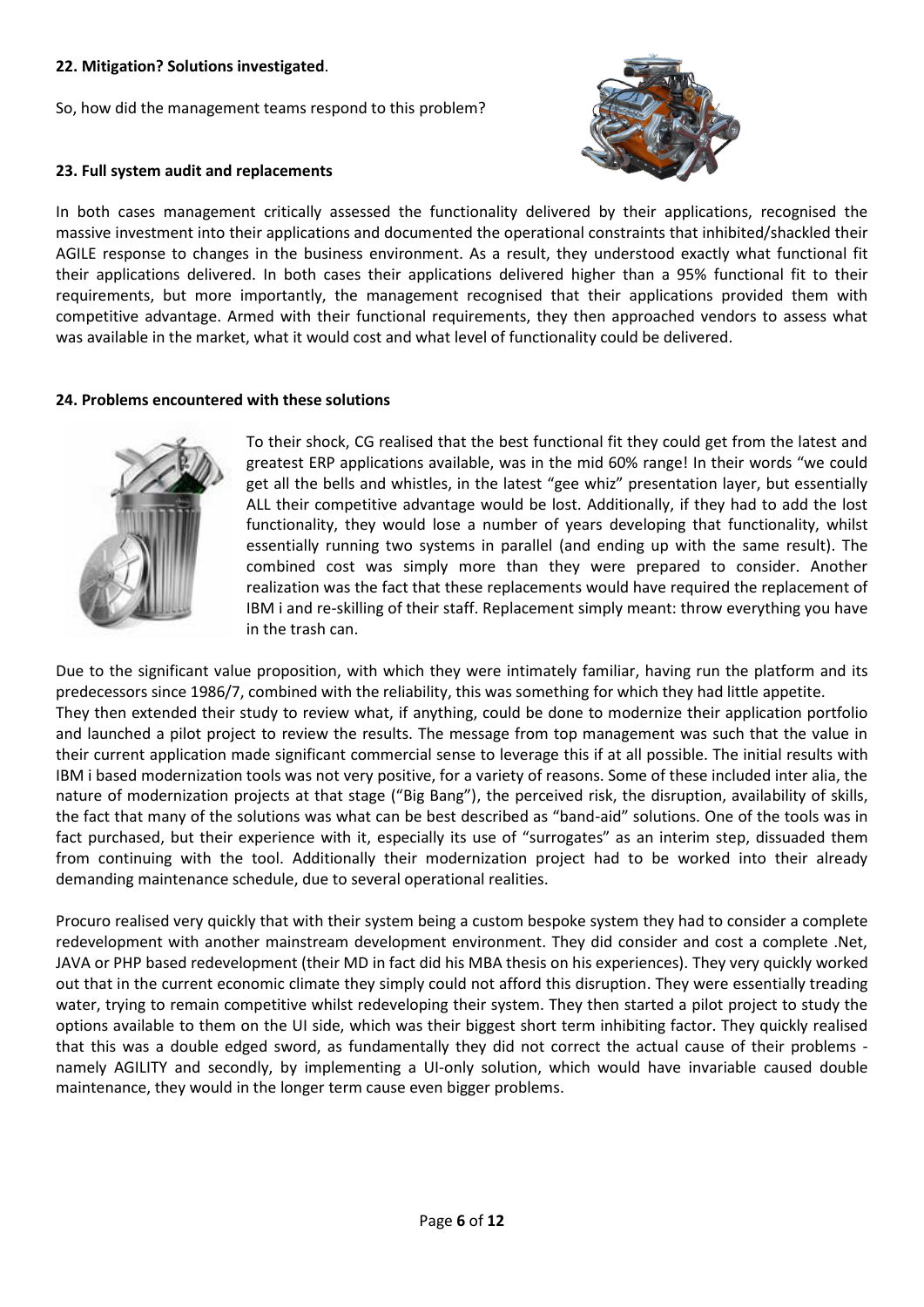# **22. Mitigation? Solutions investigated**.

So, how did the management teams respond to this problem?



# **23. Full system audit and replacements**

In both cases management critically assessed the functionality delivered by their applications, recognised the massive investment into their applications and documented the operational constraints that inhibited/shackled their AGILE response to changes in the business environment. As a result, they understood exactly what functional fit their applications delivered. In both cases their applications delivered higher than a 95% functional fit to their requirements, but more importantly, the management recognised that their applications provided them with competitive advantage. Armed with their functional requirements, they then approached vendors to assess what was available in the market, what it would cost and what level of functionality could be delivered.

# **24. Problems encountered with these solutions**



To their shock, CG realised that the best functional fit they could get from the latest and greatest ERP applications available, was in the mid 60% range! In their words "we could get all the bells and whistles, in the latest "gee whiz" presentation layer, but essentially ALL their competitive advantage would be lost. Additionally, if they had to add the lost functionality, they would lose a number of years developing that functionality, whilst essentially running two systems in parallel (and ending up with the same result). The combined cost was simply more than they were prepared to consider. Another realization was the fact that these replacements would have required the replacement of IBM i and re-skilling of their staff. Replacement simply meant: throw everything you have in the trash can.

Due to the significant value proposition, with which they were intimately familiar, having run the platform and its predecessors since 1986/7, combined with the reliability, this was something for which they had little appetite. They then extended their study to review what, if anything, could be done to modernize their application portfolio and launched a pilot project to review the results. The message from top management was such that the value in their current application made significant commercial sense to leverage this if at all possible. The initial results with IBM i based modernization tools was not very positive, for a variety of reasons. Some of these included inter alia, the nature of modernization projects at that stage ("Big Bang"), the perceived risk, the disruption, availability of skills, the fact that many of the solutions was what can be best described as "band-aid" solutions. One of the tools was in fact purchased, but their experience with it, especially its use of "surrogates" as an interim step, dissuaded them from continuing with the tool. Additionally their modernization project had to be worked into their already demanding maintenance schedule, due to several operational realities.

Procuro realised very quickly that with their system being a custom bespoke system they had to consider a complete redevelopment with another mainstream development environment. They did consider and cost a complete .Net, JAVA or PHP based redevelopment (their MD in fact did his MBA thesis on his experiences). They very quickly worked out that in the current economic climate they simply could not afford this disruption. They were essentially treading water, trying to remain competitive whilst redeveloping their system. They then started a pilot project to study the options available to them on the UI side, which was their biggest short term inhibiting factor. They quickly realised that this was a double edged sword, as fundamentally they did not correct the actual cause of their problems namely AGILITY and secondly, by implementing a UI-only solution, which would have invariable caused double maintenance, they would in the longer term cause even bigger problems.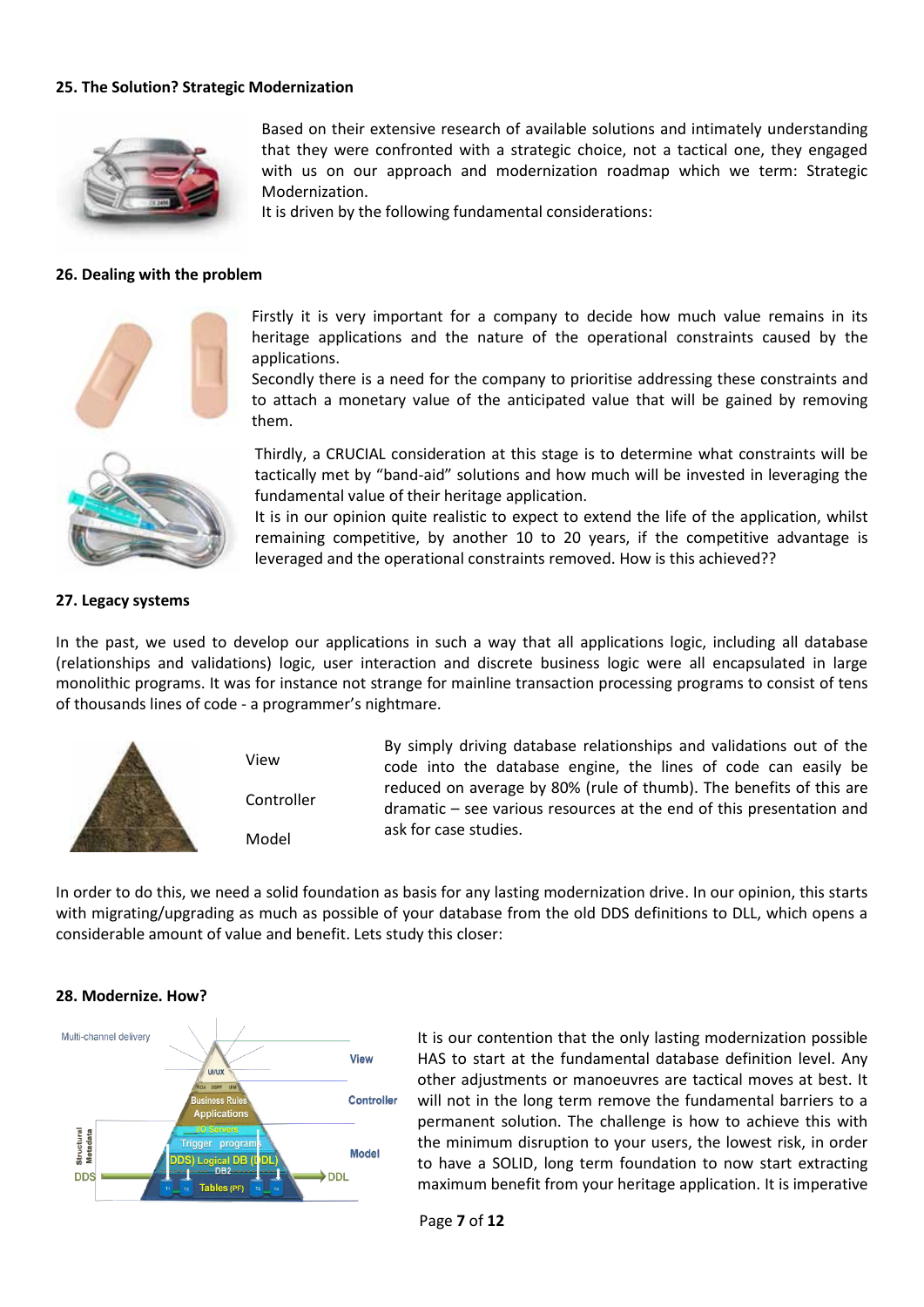# **25. The Solution? Strategic Modernization**



Based on their extensive research of available solutions and intimately understanding that they were confronted with a strategic choice, not a tactical one, they engaged with us on our approach and modernization roadmap which we term: Strategic Modernization.

It is driven by the following fundamental considerations:

### **26. Dealing with the problem**



Firstly it is very important for a company to decide how much value remains in its heritage applications and the nature of the operational constraints caused by the applications.

Secondly there is a need for the company to prioritise addressing these constraints and to attach a monetary value of the anticipated value that will be gained by removing them.



**27. Legacy systems** 

Thirdly, a CRUCIAL consideration at this stage is to determine what constraints will be tactically met by "band-aid" solutions and how much will be invested in leveraging the fundamental value of their heritage application.

It is in our opinion quite realistic to expect to extend the life of the application, whilst remaining competitive, by another 10 to 20 years, if the competitive advantage is leveraged and the operational constraints removed. How is this achieved??

# In the past, we used to develop our applications in such a way that all applications logic, including all database

(relationships and validations) logic, user interaction and discrete business logic were all encapsulated in large monolithic programs. It was for instance not strange for mainline transaction processing programs to consist of tens of thousands lines of code - a programmer's nightmare.



In order to do this, we need a solid foundation as basis for any lasting modernization drive. In our opinion, this starts with migrating/upgrading as much as possible of your database from the old DDS definitions to DLL, which opens a considerable amount of value and benefit. Lets study this closer:

#### **28. Modernize. How?**



It is our contention that the only lasting modernization possible HAS to start at the fundamental database definition level. Any other adjustments or manoeuvres are tactical moves at best. It will not in the long term remove the fundamental barriers to a permanent solution. The challenge is how to achieve this with the minimum disruption to your users, the lowest risk, in order to have a SOLID, long term foundation to now start extracting maximum benefit from your heritage application. It is imperative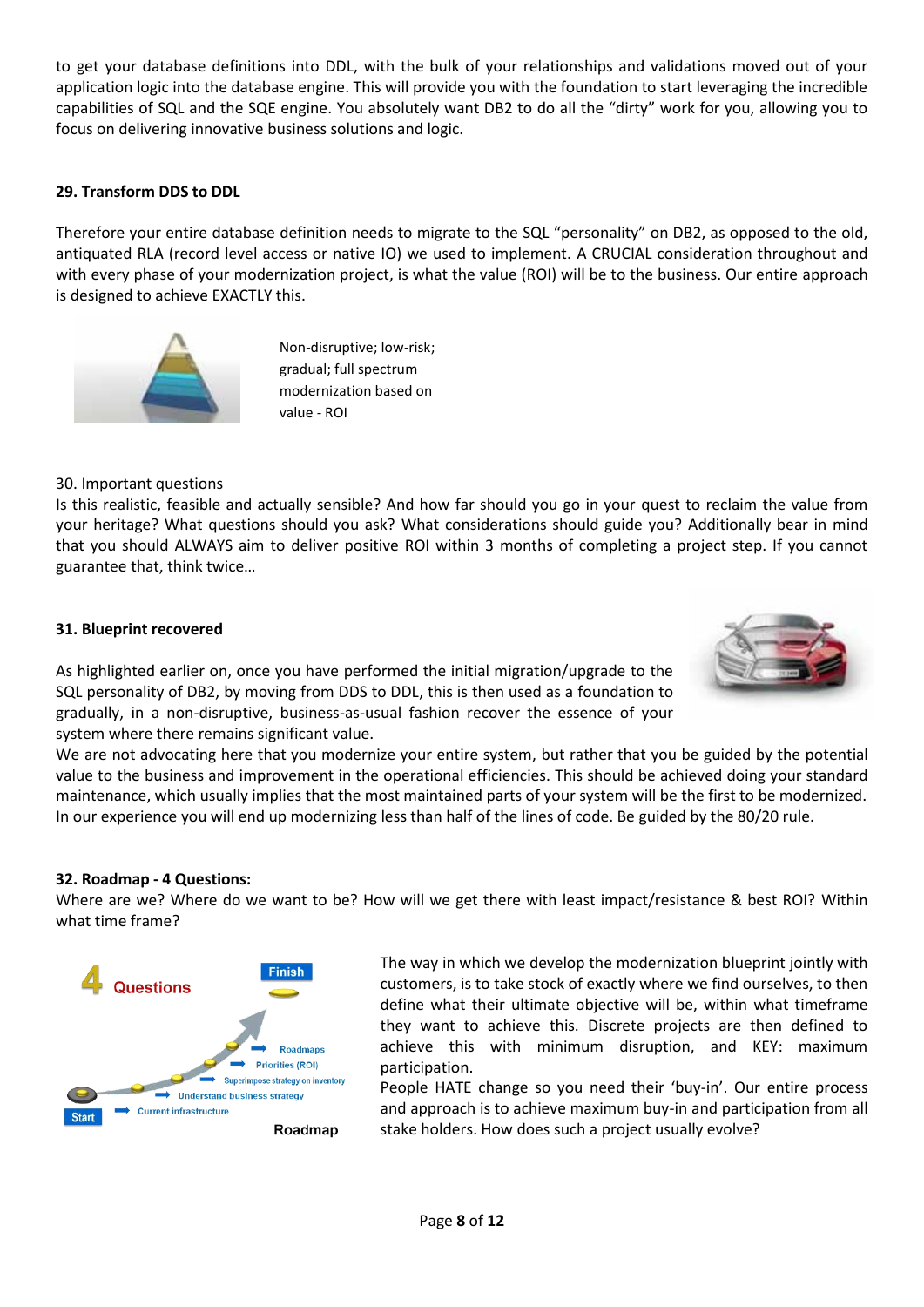to get your database definitions into DDL, with the bulk of your relationships and validations moved out of your application logic into the database engine. This will provide you with the foundation to start leveraging the incredible capabilities of SQL and the SQE engine. You absolutely want DB2 to do all the "dirty" work for you, allowing you to focus on delivering innovative business solutions and logic.

# **29. Transform DDS to DDL**

Therefore your entire database definition needs to migrate to the SQL "personality" on DB2, as opposed to the old, antiquated RLA (record level access or native IO) we used to implement. A CRUCIAL consideration throughout and with every phase of your modernization project, is what the value (ROI) will be to the business. Our entire approach is designed to achieve EXACTLY this.



Non-disruptive; low-risk; gradual; full spectrum modernization based on value - ROI

30. Important questions

Is this realistic, feasible and actually sensible? And how far should you go in your quest to reclaim the value from your heritage? What questions should you ask? What considerations should guide you? Additionally bear in mind that you should ALWAYS aim to deliver positive ROI within 3 months of completing a project step. If you cannot guarantee that, think twice…

# **31. Blueprint recovered**



As highlighted earlier on, once you have performed the initial migration/upgrade to the SQL personality of DB2, by moving from DDS to DDL, this is then used as a foundation to gradually, in a non-disruptive, business-as-usual fashion recover the essence of your system where there remains significant value.

We are not advocating here that you modernize your entire system, but rather that you be guided by the potential value to the business and improvement in the operational efficiencies. This should be achieved doing your standard maintenance, which usually implies that the most maintained parts of your system will be the first to be modernized. In our experience you will end up modernizing less than half of the lines of code. Be guided by the 80/20 rule.

# **32. Roadmap - 4 Questions:**

Where are we? Where do we want to be? How will we get there with least impact/resistance & best ROI? Within what time frame?



The way in which we develop the modernization blueprint jointly with customers, is to take stock of exactly where we find ourselves, to then define what their ultimate objective will be, within what timeframe they want to achieve this. Discrete projects are then defined to achieve this with minimum disruption, and KEY: maximum participation.

People HATE change so you need their 'buy-in'. Our entire process and approach is to achieve maximum buy-in and participation from all stake holders. How does such a project usually evolve?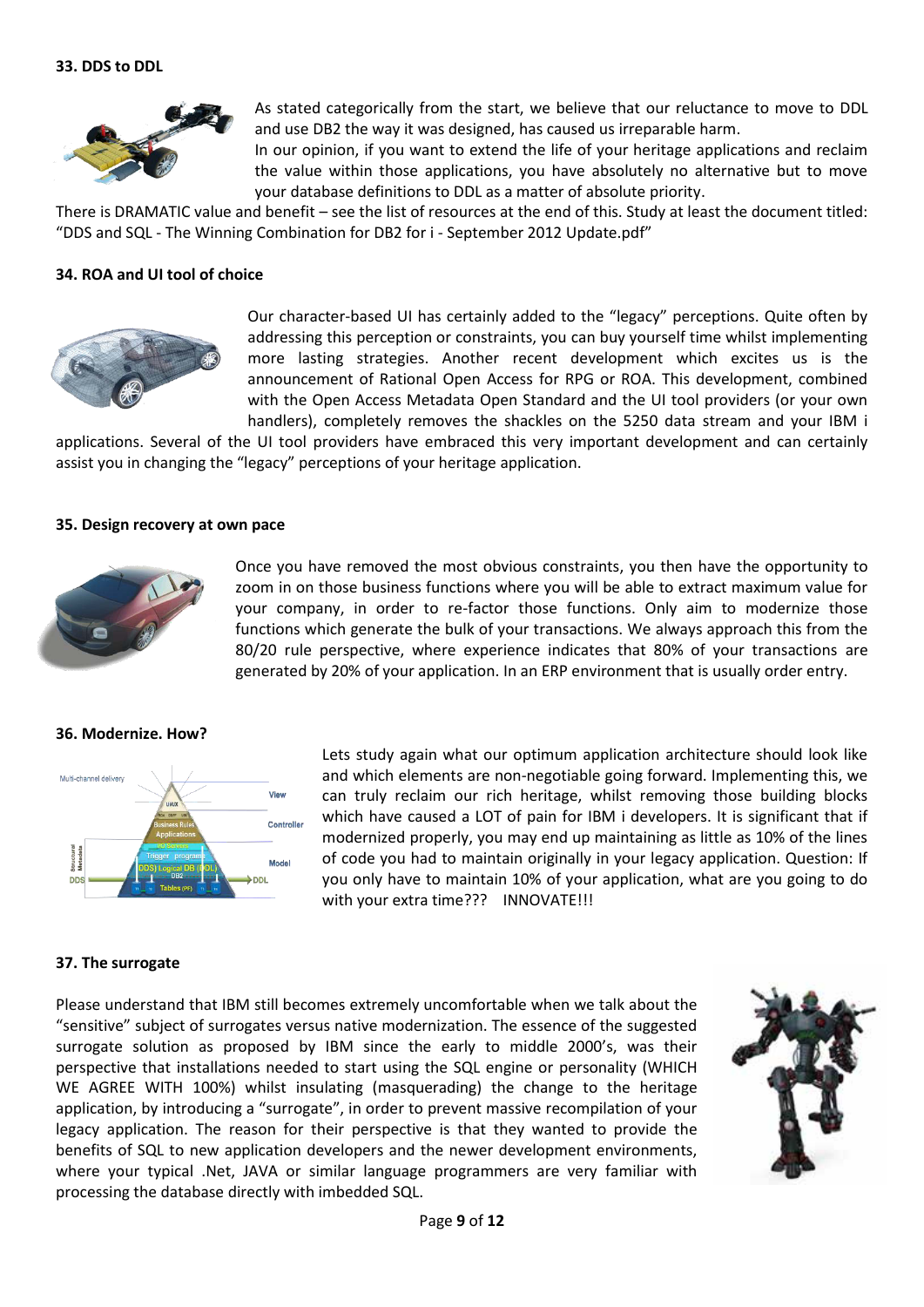

As stated categorically from the start, we believe that our reluctance to move to DDL and use DB2 the way it was designed, has caused us irreparable harm.

In our opinion, if you want to extend the life of your heritage applications and reclaim the value within those applications, you have absolutely no alternative but to move your database definitions to DDL as a matter of absolute priority.

There is DRAMATIC value and benefit – see the list of resources at the end of this. Study at least the document titled: "DDS and SQL - The Winning Combination for DB2 for i - September 2012 Update.pdf"

# **34. ROA and UI tool of choice**



Our character-based UI has certainly added to the "legacy" perceptions. Quite often by addressing this perception or constraints, you can buy yourself time whilst implementing more lasting strategies. Another recent development which excites us is the announcement of Rational Open Access for RPG or ROA. This development, combined with the Open Access Metadata Open Standard and the UI tool providers (or your own handlers), completely removes the shackles on the 5250 data stream and your IBM i

applications. Several of the UI tool providers have embraced this very important development and can certainly assist you in changing the "legacy" perceptions of your heritage application.

#### **35. Design recovery at own pace**



Once you have removed the most obvious constraints, you then have the opportunity to zoom in on those business functions where you will be able to extract maximum value for your company, in order to re-factor those functions. Only aim to modernize those functions which generate the bulk of your transactions. We always approach this from the 80/20 rule perspective, where experience indicates that 80% of your transactions are generated by 20% of your application. In an ERP environment that is usually order entry.

#### **36. Modernize. How?**



Lets study again what our optimum application architecture should look like and which elements are non-negotiable going forward. Implementing this, we can truly reclaim our rich heritage, whilst removing those building blocks which have caused a LOT of pain for IBM i developers. It is significant that if modernized properly, you may end up maintaining as little as 10% of the lines of code you had to maintain originally in your legacy application. Question: If you only have to maintain 10% of your application, what are you going to do with your extra time??? INNOVATE!!!

#### **37. The surrogate**

Please understand that IBM still becomes extremely uncomfortable when we talk about the "sensitive" subject of surrogates versus native modernization. The essence of the suggested surrogate solution as proposed by IBM since the early to middle 2000's, was their perspective that installations needed to start using the SQL engine or personality (WHICH WE AGREE WITH 100%) whilst insulating (masquerading) the change to the heritage application, by introducing a "surrogate", in order to prevent massive recompilation of your legacy application. The reason for their perspective is that they wanted to provide the benefits of SQL to new application developers and the newer development environments, where your typical .Net, JAVA or similar language programmers are very familiar with processing the database directly with imbedded SQL.

![](_page_8_Picture_17.jpeg)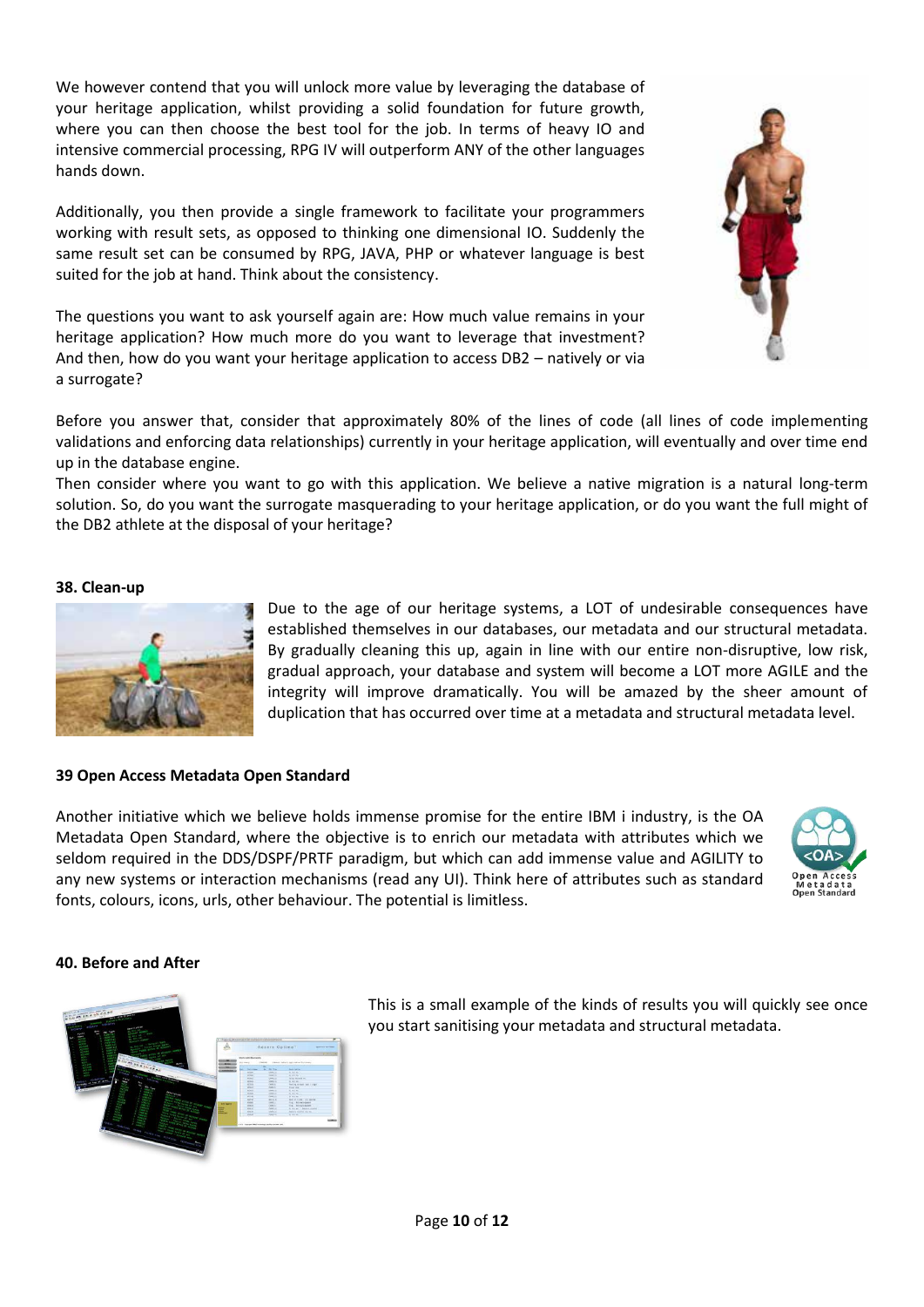We however contend that you will unlock more value by leveraging the database of your heritage application, whilst providing a solid foundation for future growth, where you can then choose the best tool for the job. In terms of heavy IO and intensive commercial processing, RPG IV will outperform ANY of the other languages hands down.

Additionally, you then provide a single framework to facilitate your programmers working with result sets, as opposed to thinking one dimensional IO. Suddenly the same result set can be consumed by RPG, JAVA, PHP or whatever language is best suited for the job at hand. Think about the consistency.

The questions you want to ask yourself again are: How much value remains in your heritage application? How much more do you want to leverage that investment? And then, how do you want your heritage application to access DB2 – natively or via a surrogate?

Before you answer that, consider that approximately 80% of the lines of code (all lines of code implementing validations and enforcing data relationships) currently in your heritage application, will eventually and over time end up in the database engine.

Then consider where you want to go with this application. We believe a native migration is a natural long-term solution. So, do you want the surrogate masquerading to your heritage application, or do you want the full might of the DB2 athlete at the disposal of your heritage?

# **38. Clean-up**

![](_page_9_Picture_6.jpeg)

Due to the age of our heritage systems, a LOT of undesirable consequences have established themselves in our databases, our metadata and our structural metadata. By gradually cleaning this up, again in line with our entire non-disruptive, low risk, gradual approach, your database and system will become a LOT more AGILE and the integrity will improve dramatically. You will be amazed by the sheer amount of duplication that has occurred over time at a metadata and structural metadata level.

# **39 Open Access Metadata Open Standard**

Another initiative which we believe holds immense promise for the entire IBM i industry, is the OA Metadata Open Standard, where the objective is to enrich our metadata with attributes which we seldom required in the DDS/DSPF/PRTF paradigm, but which can add immense value and AGILITY to any new systems or interaction mechanisms (read any UI). Think here of attributes such as standard fonts, colours, icons, urls, other behaviour. The potential is limitless.

![](_page_9_Picture_10.jpeg)

# **40. Before and After**

![](_page_9_Picture_12.jpeg)

This is a small example of the kinds of results you will quickly see once you start sanitising your metadata and structural metadata.

![](_page_9_Picture_14.jpeg)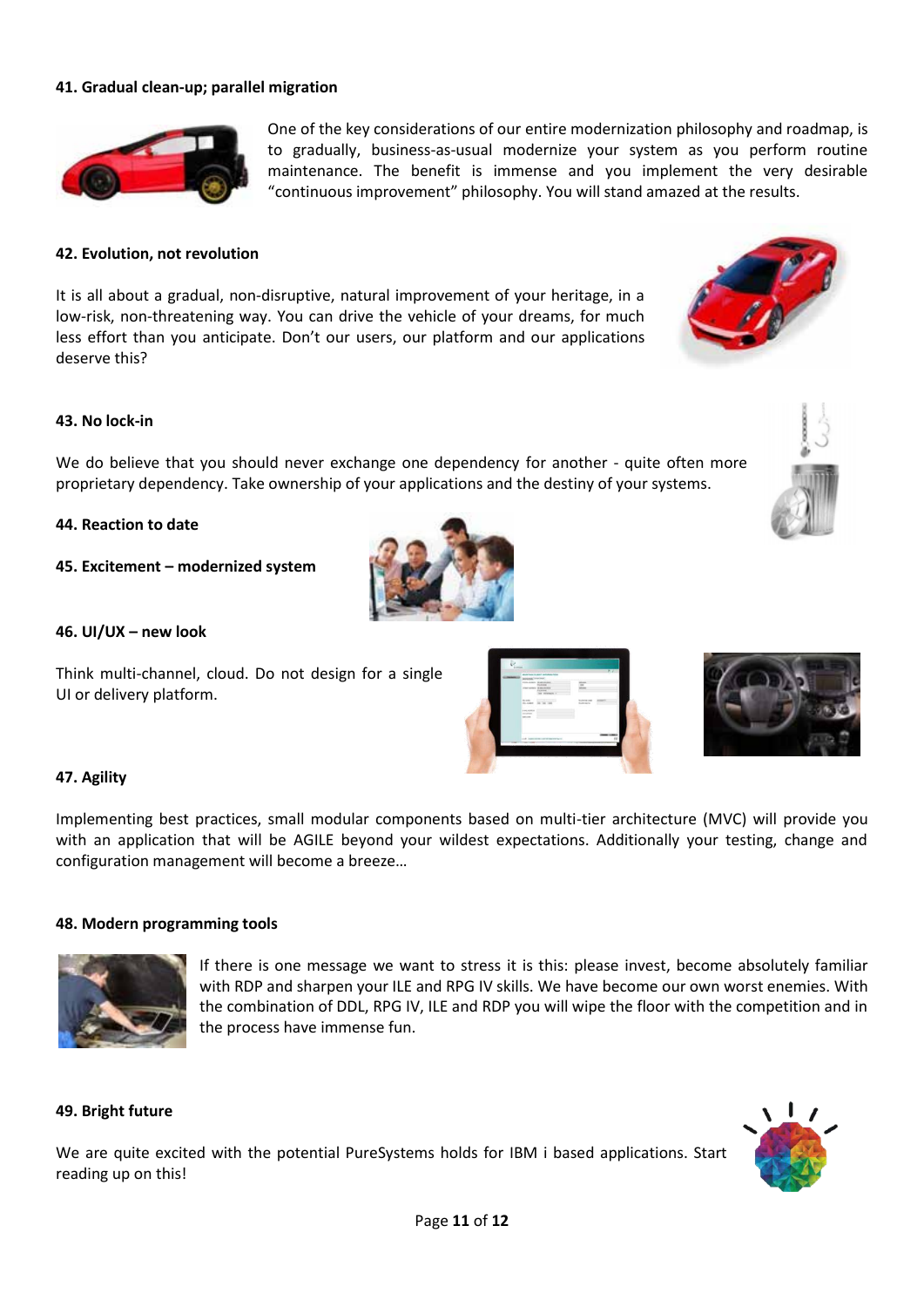# **41. Gradual clean-up; parallel migration**

![](_page_10_Picture_1.jpeg)

One of the key considerations of our entire modernization philosophy and roadmap, is to gradually, business-as-usual modernize your system as you perform routine maintenance. The benefit is immense and you implement the very desirable "continuous improvement" philosophy. You will stand amazed at the results.

# **42. Evolution, not revolution**

It is all about a gradual, non-disruptive, natural improvement of your heritage, in a low-risk, non-threatening way. You can drive the vehicle of your dreams, for much less effort than you anticipate. Don't our users, our platform and our applications deserve this?

# **43. No lock-in**

We do believe that you should never exchange one dependency for another - quite often more proprietary dependency. Take ownership of your applications and the destiny of your systems.

#### **44. Reaction to date**

**45. Excitement – modernized system** 

#### **46. UI/UX – new look**

Think multi-channel, cloud. Do not design for a single UI or delivery platform.

![](_page_10_Picture_11.jpeg)

![](_page_10_Picture_12.jpeg)

# **47. Agility**

Implementing best practices, small modular components based on multi-tier architecture (MVC) will provide you with an application that will be AGILE beyond your wildest expectations. Additionally your testing, change and configuration management will become a breeze…

#### **48. Modern programming tools**

![](_page_10_Picture_16.jpeg)

If there is one message we want to stress it is this: please invest, become absolutely familiar with RDP and sharpen your ILE and RPG IV skills. We have become our own worst enemies. With the combination of DDL, RPG IV, ILE and RDP you will wipe the floor with the competition and in the process have immense fun.

# **49. Bright future**

We are quite excited with the potential PureSystems holds for IBM i based applications. Start reading up on this!

![](_page_10_Picture_20.jpeg)

![](_page_10_Picture_22.jpeg)